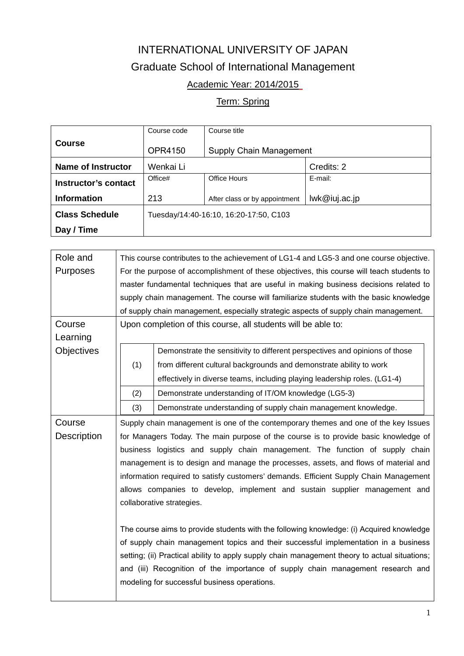## INTERNATIONAL UNIVERSITY OF JAPAN Graduate School of International Management

## Academic Year: 2014/2015

## Term: Spring

|                           | Course code                            | Course title                   |               |  |
|---------------------------|----------------------------------------|--------------------------------|---------------|--|
| <b>Course</b>             | <b>OPR4150</b>                         | <b>Supply Chain Management</b> |               |  |
| <b>Name of Instructor</b> | Wenkai Li                              |                                | Credits: 2    |  |
| Instructor's contact      | Office#                                | Office Hours                   | E-mail:       |  |
| <b>Information</b>        | 213                                    | After class or by appointment  | Iwk@iuj.ac.jp |  |
| <b>Class Schedule</b>     | Tuesday/14:40-16:10, 16:20-17:50, C103 |                                |               |  |
| Day / Time                |                                        |                                |               |  |

| Role and          | This course contributes to the achievement of LG1-4 and LG5-3 and one course objective.       |                                                                                     |  |  |
|-------------------|-----------------------------------------------------------------------------------------------|-------------------------------------------------------------------------------------|--|--|
| Purposes          | For the purpose of accomplishment of these objectives, this course will teach students to     |                                                                                     |  |  |
|                   | master fundamental techniques that are useful in making business decisions related to         |                                                                                     |  |  |
|                   | supply chain management. The course will familiarize students with the basic knowledge        |                                                                                     |  |  |
|                   | of supply chain management, especially strategic aspects of supply chain management.          |                                                                                     |  |  |
| Course            | Upon completion of this course, all students will be able to:                                 |                                                                                     |  |  |
| Learning          |                                                                                               |                                                                                     |  |  |
| <b>Objectives</b> |                                                                                               | Demonstrate the sensitivity to different perspectives and opinions of those         |  |  |
|                   | (1)                                                                                           | from different cultural backgrounds and demonstrate ability to work                 |  |  |
|                   |                                                                                               | effectively in diverse teams, including playing leadership roles. (LG1-4)           |  |  |
|                   | (2)                                                                                           | Demonstrate understanding of IT/OM knowledge (LG5-3)                                |  |  |
|                   | (3)                                                                                           | Demonstrate understanding of supply chain management knowledge.                     |  |  |
| Course            |                                                                                               | Supply chain management is one of the contemporary themes and one of the key Issues |  |  |
| Description       |                                                                                               | for Managers Today. The main purpose of the course is to provide basic knowledge of |  |  |
|                   | business logistics and supply chain management. The function of supply chain                  |                                                                                     |  |  |
|                   | management is to design and manage the processes, assets, and flows of material and           |                                                                                     |  |  |
|                   | information required to satisfy customers' demands. Efficient Supply Chain Management         |                                                                                     |  |  |
|                   | allows companies to develop, implement and sustain supplier management and                    |                                                                                     |  |  |
|                   | collaborative strategies.                                                                     |                                                                                     |  |  |
|                   |                                                                                               |                                                                                     |  |  |
|                   | The course aims to provide students with the following knowledge: (i) Acquired knowledge      |                                                                                     |  |  |
|                   | of supply chain management topics and their successful implementation in a business           |                                                                                     |  |  |
|                   | setting; (ii) Practical ability to apply supply chain management theory to actual situations; |                                                                                     |  |  |
|                   | and (iii) Recognition of the importance of supply chain management research and               |                                                                                     |  |  |
|                   | modeling for successful business operations.                                                  |                                                                                     |  |  |
|                   |                                                                                               |                                                                                     |  |  |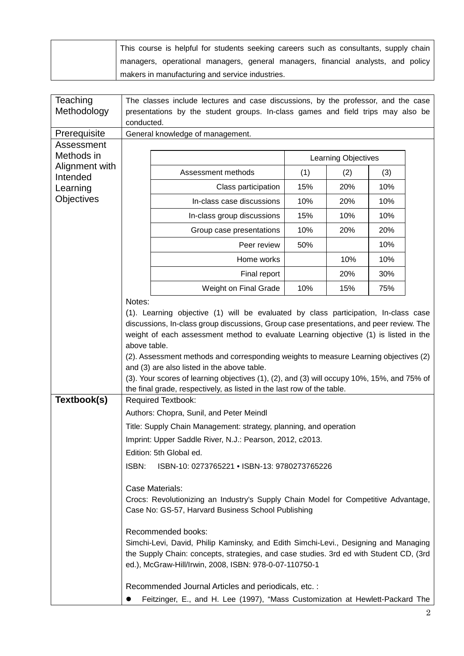|  | This course is helpful for students seeking careers such as consultants, supply chain |
|--|---------------------------------------------------------------------------------------|
|  | managers, operational managers, general managers, financial analysts, and policy      |
|  | makers in manufacturing and service industries.                                       |

| Teaching                   | The classes include lectures and case discussions, by the professor, and the case                                                                                                                                                                                                                                                                                                                                                                                                                                                                                                                               |                                                                                 |     |     |     |  |
|----------------------------|-----------------------------------------------------------------------------------------------------------------------------------------------------------------------------------------------------------------------------------------------------------------------------------------------------------------------------------------------------------------------------------------------------------------------------------------------------------------------------------------------------------------------------------------------------------------------------------------------------------------|---------------------------------------------------------------------------------|-----|-----|-----|--|
| Methodology                |                                                                                                                                                                                                                                                                                                                                                                                                                                                                                                                                                                                                                 | presentations by the student groups. In-class games and field trips may also be |     |     |     |  |
|                            |                                                                                                                                                                                                                                                                                                                                                                                                                                                                                                                                                                                                                 | conducted.                                                                      |     |     |     |  |
| Prerequisite               | General knowledge of management.                                                                                                                                                                                                                                                                                                                                                                                                                                                                                                                                                                                |                                                                                 |     |     |     |  |
| Assessment                 |                                                                                                                                                                                                                                                                                                                                                                                                                                                                                                                                                                                                                 |                                                                                 |     |     |     |  |
| Methods in                 | Learning Objectives                                                                                                                                                                                                                                                                                                                                                                                                                                                                                                                                                                                             |                                                                                 |     |     |     |  |
| Alignment with<br>Intended |                                                                                                                                                                                                                                                                                                                                                                                                                                                                                                                                                                                                                 | Assessment methods                                                              | (1) | (2) | (3) |  |
| Learning                   |                                                                                                                                                                                                                                                                                                                                                                                                                                                                                                                                                                                                                 | Class participation                                                             | 15% | 20% | 10% |  |
| <b>Objectives</b>          |                                                                                                                                                                                                                                                                                                                                                                                                                                                                                                                                                                                                                 | In-class case discussions                                                       | 10% | 20% | 10% |  |
|                            |                                                                                                                                                                                                                                                                                                                                                                                                                                                                                                                                                                                                                 | In-class group discussions                                                      | 15% | 10% | 10% |  |
|                            |                                                                                                                                                                                                                                                                                                                                                                                                                                                                                                                                                                                                                 | Group case presentations                                                        | 10% | 20% | 20% |  |
|                            |                                                                                                                                                                                                                                                                                                                                                                                                                                                                                                                                                                                                                 | Peer review                                                                     | 50% |     | 10% |  |
|                            |                                                                                                                                                                                                                                                                                                                                                                                                                                                                                                                                                                                                                 | Home works                                                                      |     | 10% | 10% |  |
|                            |                                                                                                                                                                                                                                                                                                                                                                                                                                                                                                                                                                                                                 | Final report                                                                    |     | 20% | 30% |  |
|                            |                                                                                                                                                                                                                                                                                                                                                                                                                                                                                                                                                                                                                 | Weight on Final Grade                                                           | 10% | 15% | 75% |  |
|                            | Notes:<br>(1). Learning objective (1) will be evaluated by class participation, In-class case<br>discussions, In-class group discussions, Group case presentations, and peer review. The<br>weight of each assessment method to evaluate Learning objective (1) is listed in the<br>above table.<br>(2). Assessment methods and corresponding weights to measure Learning objectives (2)<br>and (3) are also listed in the above table.<br>(3). Your scores of learning objectives (1), (2), and (3) will occupy 10%, 15%, and 75% of<br>the final grade, respectively, as listed in the last row of the table. |                                                                                 |     |     |     |  |
| Textbook(s)                | <b>Required Textbook:</b><br>Authors: Chopra, Sunil, and Peter Meindl                                                                                                                                                                                                                                                                                                                                                                                                                                                                                                                                           |                                                                                 |     |     |     |  |
|                            |                                                                                                                                                                                                                                                                                                                                                                                                                                                                                                                                                                                                                 |                                                                                 |     |     |     |  |
|                            |                                                                                                                                                                                                                                                                                                                                                                                                                                                                                                                                                                                                                 | Title: Supply Chain Management: strategy, planning, and operation               |     |     |     |  |
|                            |                                                                                                                                                                                                                                                                                                                                                                                                                                                                                                                                                                                                                 | Imprint: Upper Saddle River, N.J.: Pearson, 2012, c2013.                        |     |     |     |  |
|                            |                                                                                                                                                                                                                                                                                                                                                                                                                                                                                                                                                                                                                 | Edition: 5th Global ed.                                                         |     |     |     |  |
|                            | ISBN:<br>ISBN-10: 0273765221 • ISBN-13: 9780273765226                                                                                                                                                                                                                                                                                                                                                                                                                                                                                                                                                           |                                                                                 |     |     |     |  |
|                            | Case Materials:<br>Crocs: Revolutionizing an Industry's Supply Chain Model for Competitive Advantage,<br>Case No: GS-57, Harvard Business School Publishing<br>Recommended books:<br>Simchi-Levi, David, Philip Kaminsky, and Edith Simchi-Levi., Designing and Managing<br>the Supply Chain: concepts, strategies, and case studies. 3rd ed with Student CD, (3rd<br>ed.), McGraw-Hill/Irwin, 2008, ISBN: 978-0-07-110750-1                                                                                                                                                                                    |                                                                                 |     |     |     |  |
|                            | Recommended Journal Articles and periodicals, etc. :<br>Feitzinger, E., and H. Lee (1997), "Mass Customization at Hewlett-Packard The                                                                                                                                                                                                                                                                                                                                                                                                                                                                           |                                                                                 |     |     |     |  |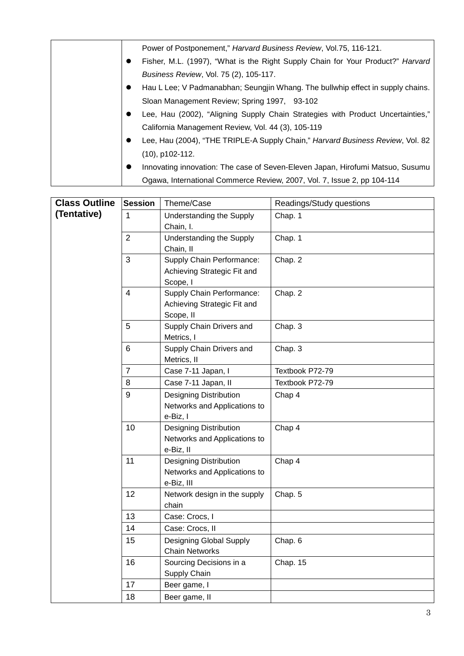| Power of Postponement," Harvard Business Review, Vol.75, 116-121.               |
|---------------------------------------------------------------------------------|
| Fisher, M.L. (1997), "What is the Right Supply Chain for Your Product?" Harvard |
| Business Review, Vol. 75 (2), 105-117.                                          |
| Hau L Lee; V Padmanabhan; Seungjin Whang. The bullwhip effect in supply chains. |
| Sloan Management Review; Spring 1997, 93-102                                    |
| Lee, Hau (2002), "Aligning Supply Chain Strategies with Product Uncertainties," |
| California Management Review, Vol. 44 (3), 105-119                              |
| Lee, Hau (2004), "THE TRIPLE-A Supply Chain," Harvard Business Review, Vol. 82  |
| $(10)$ , p102-112.                                                              |
| Innovating innovation: The case of Seven-Eleven Japan, Hirofumi Matsuo, Susumu  |
| Ogawa, International Commerce Review, 2007, Vol. 7, Issue 2, pp 104-114         |

| <b>Class Outline</b> | <b>Session</b> | Theme/Case<br>Readings/Study questions                                      |                 |
|----------------------|----------------|-----------------------------------------------------------------------------|-----------------|
| (Tentative)          | 1              | <b>Understanding the Supply</b><br>Chain, I.                                | Chap. 1         |
|                      | $\overline{2}$ | Understanding the Supply<br>Chain, II                                       | Chap. 1         |
|                      | 3              | Supply Chain Performance:<br>Achieving Strategic Fit and<br>Scope, I        | Chap. 2         |
|                      | $\overline{4}$ | Supply Chain Performance:<br>Achieving Strategic Fit and<br>Scope, II       | Chap. 2         |
|                      | 5              | Supply Chain Drivers and<br>Metrics, I                                      | Chap. 3         |
|                      | 6              | Supply Chain Drivers and<br>Metrics, II                                     | Chap. 3         |
|                      | $\overline{7}$ | Case 7-11 Japan, I                                                          | Textbook P72-79 |
|                      | 8              | Case 7-11 Japan, II                                                         | Textbook P72-79 |
|                      | 9              | <b>Designing Distribution</b><br>Networks and Applications to<br>e-Biz, I   | Chap 4          |
|                      | 10             | <b>Designing Distribution</b><br>Networks and Applications to<br>e-Biz, II  | Chap 4          |
|                      | 11             | <b>Designing Distribution</b><br>Networks and Applications to<br>e-Biz, III | Chap 4          |
|                      | 12             | Network design in the supply<br>chain                                       | Chap. 5         |
| 13<br>14             |                | Case: Crocs, I                                                              |                 |
|                      |                | Case: Crocs, II                                                             |                 |
|                      | 15             | Designing Global Supply<br><b>Chain Networks</b>                            | Chap. 6         |
|                      | 16             | Sourcing Decisions in a<br>Supply Chain                                     | Chap. 15        |
|                      | 17             | Beer game, I                                                                |                 |
|                      | 18             | Beer game, II                                                               |                 |